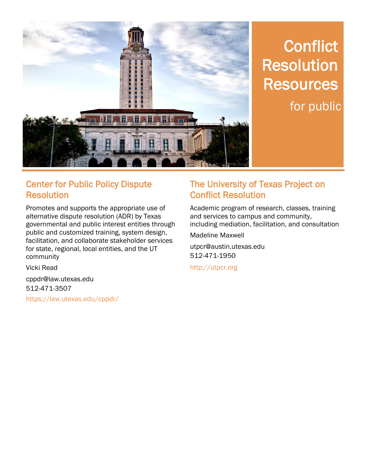

# **Conflict** Resolution **Resources** for public

#### Center for Public Policy Dispute Resolution

Promotes and supports the appropriate use of alternative dispute resolution (ADR) by Texas governmental and public interest entities through public and customized training, system design, facilitation, and collaborate stakeholder services for state, regional, local entities, and the UT community

Vicki Read

cppdr@law.utexas.edu 512-471-3507 https://law.utexas.edu/cppdr/

#### The University of Texas Project on Conflict Resolution

Academic program of research, classes, training and services to campus and community, including mediation, facilitation, and consultation

Madeline Maxwell

utpcr@austin.utexas.edu 512-471-1950

http://utpcr.org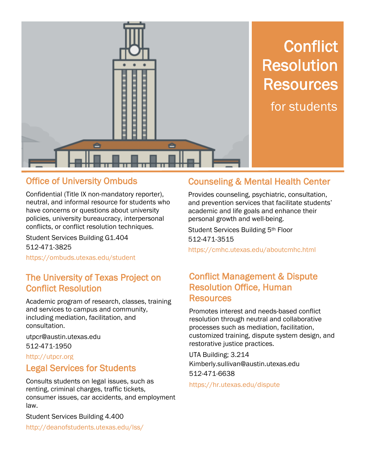

### **Conflict** Resolution **Resources** for students

### Office of University Ombuds

Confidential (Title IX non-mandatory reporter), neutral, and informal resource for students who have concerns or questions about university policies, university bureaucracy, interpersonal conflicts, or conflict resolution techniques.

Student Services Building G1.404 512-471-3825

https://ombuds.utexas.edu/student

#### The University of Texas Project on Conflict Resolution

Academic program of research, classes, training and services to campus and community, including mediation, facilitation, and consultation.

utpcr@austin.utexas.edu 512-471-1950

#### http://utpcr.org

#### Legal Services for Students

Consults students on legal issues, such as renting, criminal charges, traffic tickets, consumer issues, car accidents, and employment law.

Student Services Building 4.400

http://deanofstudents.utexas.edu/lss/

#### Counseling & Mental Health Center

Provides counseling, psychiatric, consultation, and prevention services that facilitate students' academic and life goals and enhance their personal growth and well-being.

Student Services Building 5th Floor 512-471-3515

https://cmhc.utexas.edu/aboutcmhc.html

#### Conflict Management & Dispute Resolution Office, Human **Resources**

Promotes interest and needs-based conflict resolution through neutral and collaborative processes such as mediation, facilitation, customized training, dispute system design, and restorative justice practices.

UTA Building; 3.214 Kimberly.sullivan@austin.utexas.edu 512-471-6638

https://hr.utexas.edu/dispute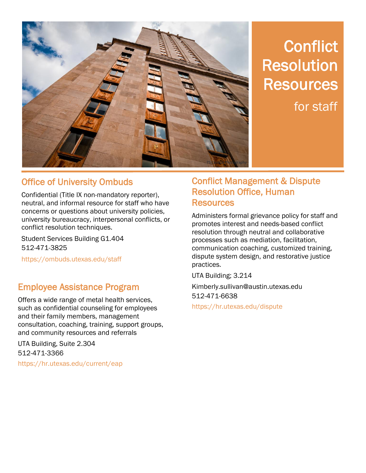

### **Conflict** Resolution **Resources** for staff

### Office of University Ombuds

Confidential (Title IX non-mandatory reporter), neutral, and informal resource for staff who have concerns or questions about university policies, university bureaucracy, interpersonal conflicts, or conflict resolution techniques.

Student Services Building G1.404 512-471-3825

https://ombuds.utexas.edu/staff

#### Employee Assistance Program

Offers a wide range of metal health services, such as confidential counseling for employees and their family members, management consultation, coaching, training, support groups, and community resources and referrals

UTA Building, Suite 2.304 512-471-3366 https://hr.utexas.edu/current/eap

#### Conflict Management & Dispute Resolution Office, Human **Resources**

Administers formal grievance policy for staff and promotes interest and needs-based conflict resolution through neutral and collaborative processes such as mediation, facilitation, communication coaching, customized training, dispute system design, and restorative justice practices.

UTA Building; 3.214 Kimberly.sullivan@austin.utexas.edu 512-471-6638

https://hr.utexas.edu/dispute